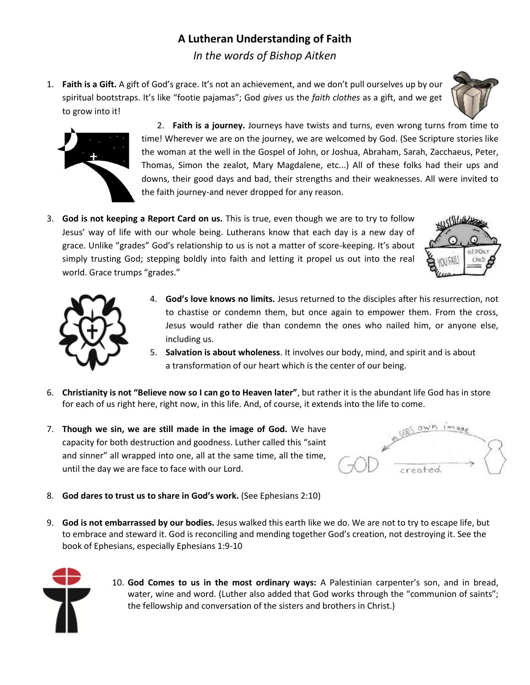## **A Lutheran Understanding of Faith**

*In the words of Bishop Aitken*

1. **Faith is a Gift.** A gift of God's grace. It's not an achievement, and we don't pull ourselves up by our spiritual bootstraps. It's like "footie pajamas"; God *gives* us the *faith clothes* as a gift, and we get to grow into it!





2. **Faith is a journey.** Journeys have twists and turns, even wrong turns from time to time! Wherever we are on the journey, we are welcomed by God. (See Scripture stories like the woman at the well in the Gospel of John, or Joshua, Abraham, Sarah, Zacchaeus, Peter, Thomas, Simon the zealot, Mary Magdalene, etc...) All of these folks had their ups and downs, their good days and bad, their strengths and their weaknesses. All were invited to the faith journey-and never dropped for any reason.

3. **God is not keeping a Report Card on us.** This is true, even though we are to try to follow Jesus' way of life with our whole being. Lutherans know that each day is a new day of grace. Unlike "grades" God's relationship to us is not a matter of score-keeping. It's about simply trusting God; stepping boldly into faith and letting it propel us out into the real world. Grace trumps "grades."





- 4. **God's love knows no limits.** Jesus returned to the disciples after his resurrection, not to chastise or condemn them, but once again to empower them. From the cross, Jesus would rather die than condemn the ones who nailed him, or anyone else, including us.
- 5. **Salvation is about wholeness**. It involves our body, mind, and spirit and is about a transformation of our heart which is the center of our being.
- 6. **Christianity is not "Believe now so I can go to Heaven later"**, but rather it is the abundant life God has in store for each of us right here, right now, in this life. And, of course, it extends into the life to come.
- 7. **Though we sin, we are still made in the image of God.** We have capacity for both destruction and goodness. Luther called this "saint and sinner" all wrapped into one, all at the same time, all the time, until the day we are face to face with our Lord.



- 8. **God dares to trust us to share in God's work.** (See Ephesians 2:10)
- 9. **God is not embarrassed by our bodies.** Jesus walked this earth like we do. We are not to try to escape life, but to embrace and steward it. God is reconciling and mending together God's creation, not destroying it. See the book of Ephesians, especially Ephesians 1:9-10



10. **God Comes to us in the most ordinary ways:** A Palestinian carpenter's son, and in bread, water, wine and word. (Luther also added that God works through the "communion of saints"; the fellowship and conversation of the sisters and brothers in Christ.)